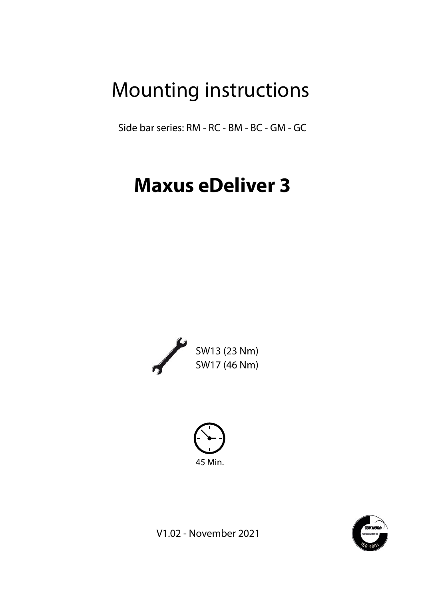## Mounting instructions

Side bar series: RM - RC - BM - BC - GM - GC

# **Maxus eDeliver 3**







V1.02 - November 2021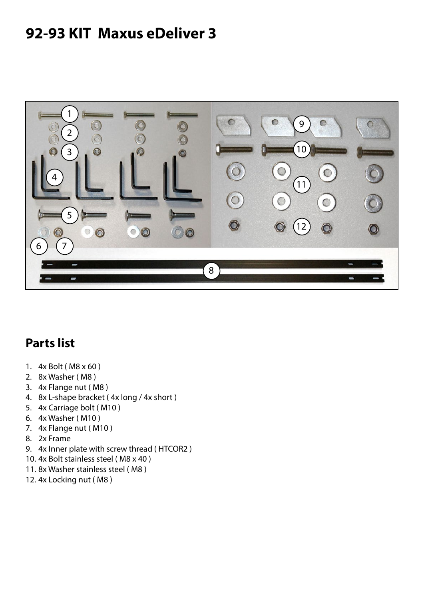## **92-93 KIT Maxus eDeliver 3**



#### **Parts list**

- 1. 4x Bolt ( M8 x 60 )
- 2. 8x Washer ( M8 )
- 3. 4x Flange nut ( M8 )
- 4. 8x L-shape bracket ( 4x long / 4x short )
- 5. 4x Carriage bolt ( M10 )
- 6. 4x Washer ( M10 )
- 7. 4x Flange nut ( M10 )
- 8. 2x Frame
- 9. 4x Inner plate with screw thread ( HTCOR2 )
- 10. 4x Bolt stainless steel ( M8 x 40 )
- 11. 8x Washer stainless steel ( M8 )
- 12. 4x Locking nut ( M8 )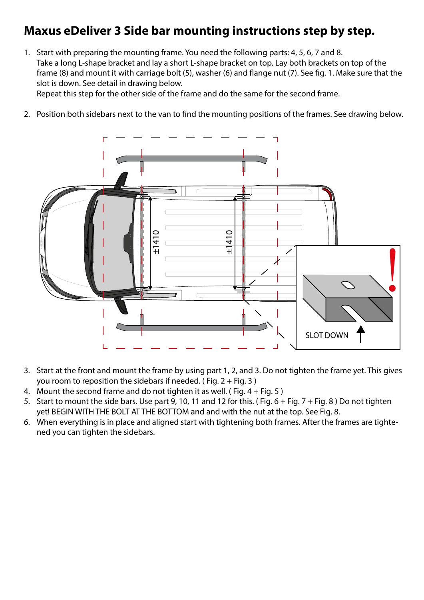### **Maxus eDeliver 3 Side bar mounting instructions step by step.**

1. Start with preparing the mounting frame. You need the following parts: 4, 5, 6, 7 and 8. Take a long L-shape bracket and lay a short L-shape bracket on top. Lay both brackets on top of the frame (8) and mount it with carriage bolt (5), washer (6) and flange nut (7). See fig. 1. Make sure that the slot is down. See detail in drawing below. Repeat this step for the other side of the frame and do the same for the second frame.

2. Position both sidebars next to the van to find the mounting positions of the frames. See drawing below.



- 3. Start at the front and mount the frame by using part 1, 2, and 3. Do not tighten the frame yet. This gives you room to reposition the sidebars if needed. (Fig.  $2 + Fig. 3$ )
- 4. Mount the second frame and do not tighten it as well. (Fig.  $4 + Fig. 5$ )
- 5. Start to mount the side bars. Use part 9, 10, 11 and 12 for this. (Fig.  $6 + Fig. 7 + Fig. 8$ ) Do not tighten yet! BEGIN WITH THE BOLT AT THE BOTTOM and and with the nut at the top. See Fig. 8.
- 6. When everything is in place and aligned start with tightening both frames. After the frames are tighte-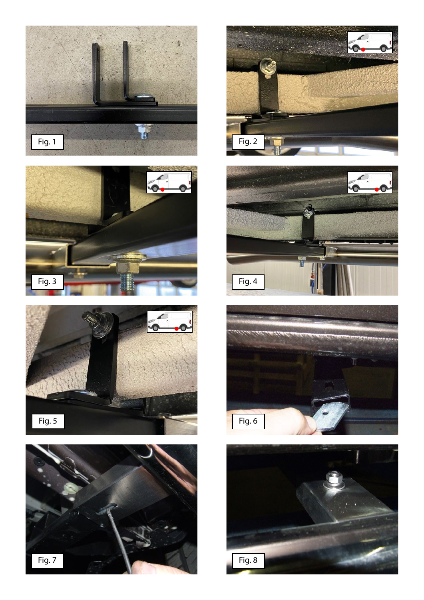